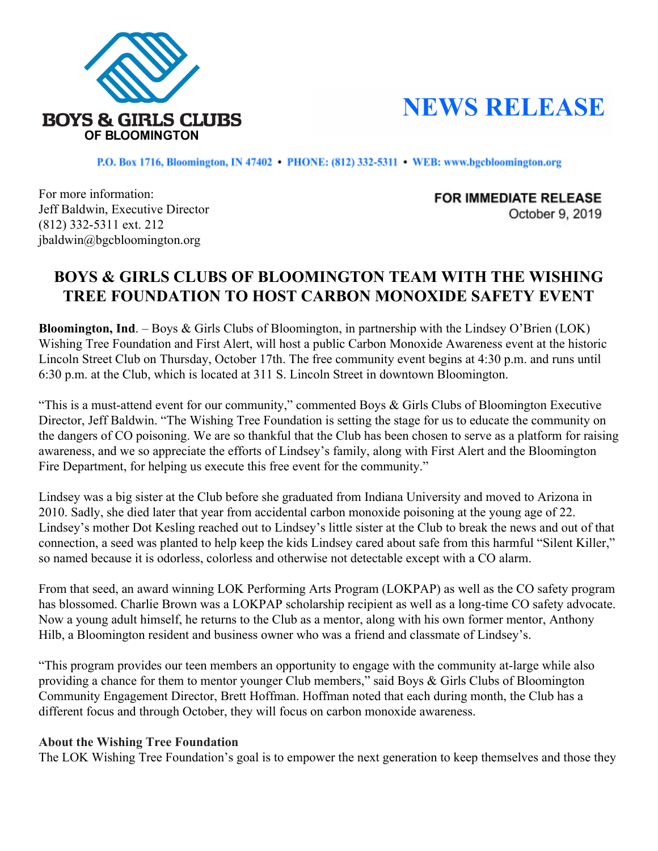

## **NEWS RELEASE**

P.O. Box 1716, Bloomington, IN 47402 · PHONE: (812) 332-5311 · WEB: www.bgcbloomington.org

For more information: Jeff Baldwin, Executive Director (812) 332-5311 ext. 212 jbaldwin@bgcbloomington.org

**FOR IMMEDIATE RELEASE** October 9, 2019

## **BOYS & GIRLS CLUBS OF BLOOMINGTON TEAM WITH THE WISHING TREE FOUNDATION TO HOST CARBON MONOXIDE SAFETY EVENT**

**Bloomington, Ind**. – Boys & Girls Clubs of Bloomington, in partnership with the Lindsey O'Brien (LOK) Wishing Tree Foundation and First Alert, will host a public Carbon Monoxide Awareness event at the historic Lincoln Street Club on Thursday, October 17th. The free community event begins at 4:30 p.m. and runs until 6:30 p.m. at the Club, which is located at 311 S. Lincoln Street in downtown Bloomington.

"This is a must-attend event for our community," commented Boys & Girls Clubs of Bloomington Executive Director, Jeff Baldwin. "The Wishing Tree Foundation is setting the stage for us to educate the community on the dangers of CO poisoning. We are so thankful that the Club has been chosen to serve as a platform for raising awareness, and we so appreciate the efforts of Lindsey's family, along with First Alert and the Bloomington Fire Department, for helping us execute this free event for the community."

Lindsey was a big sister at the Club before she graduated from Indiana University and moved to Arizona in 2010. Sadly, she died later that year from accidental carbon monoxide poisoning at the young age of 22. Lindsey's mother Dot Kesling reached out to Lindsey's little sister at the Club to break the news and out of that connection, a seed was planted to help keep the kids Lindsey cared about safe from this harmful "Silent Killer," so named because it is odorless, colorless and otherwise not detectable except with a CO alarm.

From that seed, an award winning LOK Performing Arts Program (LOKPAP) as well as the CO safety program has blossomed. Charlie Brown was a LOKPAP scholarship recipient as well as a long-time CO safety advocate. Now a young adult himself, he returns to the Club as a mentor, along with his own former mentor, Anthony Hilb, a Bloomington resident and business owner who was a friend and classmate of Lindsey's.

"This program provides our teen members an opportunity to engage with the community at-large while also providing a chance for them to mentor younger Club members," said Boys & Girls Clubs of Bloomington Community Engagement Director, Brett Hoffman. Hoffman noted that each during month, the Club has a different focus and through October, they will focus on carbon monoxide awareness.

## **About the Wishing Tree Foundation**

The LOK Wishing Tree Foundation's goal is to empower the next generation to keep themselves and those they